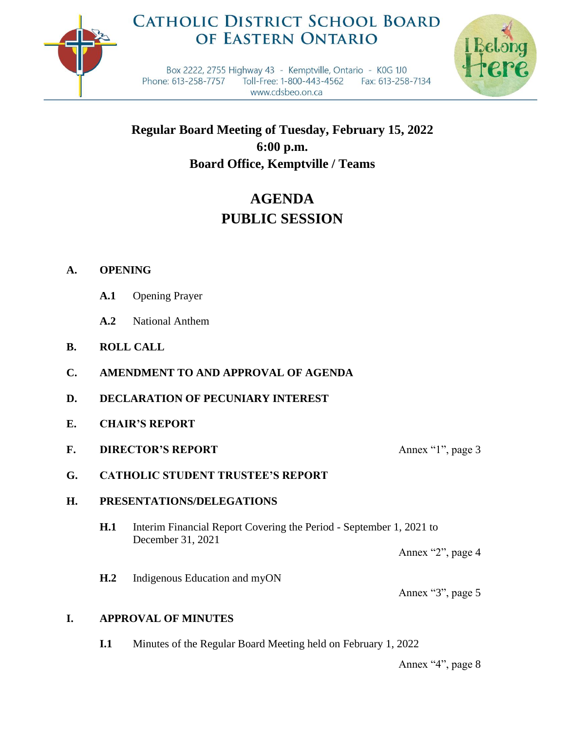

## **CATHOLIC DISTRICT SCHOOL BOARD** OF EASTERN ONTARIO



Box 2222, 2755 Highway 43 - Kemptville, Ontario - K0G 1J0 Phone: 613-258-7757 Toll-Free: 1-800-443-4562 Fax: 613-258-7134 www.cdsbeo.on.ca

**Regular Board Meeting of Tuesday, February 15, 2022 6:00 p.m. Board Office, Kemptville / Teams**

# **AGENDA PUBLIC SESSION**

## **A. OPENING**

- **A.1** Opening Prayer
- **A.2** National Anthem
- **B. ROLL CALL**
- **C. AMENDMENT TO AND APPROVAL OF AGENDA**
- **D. DECLARATION OF PECUNIARY INTEREST**
- **E. CHAIR'S REPORT**
- **F. DIRECTOR'S REPORT** Annex "1", page 3
- **G. CATHOLIC STUDENT TRUSTEE'S REPORT**

## **H. PRESENTATIONS/DELEGATIONS**

- **H.1** Interim Financial Report Covering the Period September 1, 2021 to December 31, 2021
	- Annex "2", page 4

**H.2** Indigenous Education and myON

Annex "3", page 5

## **I. APPROVAL OF MINUTES**

**I.1** Minutes of the Regular Board Meeting held on February 1, 2022

Annex "4", page 8